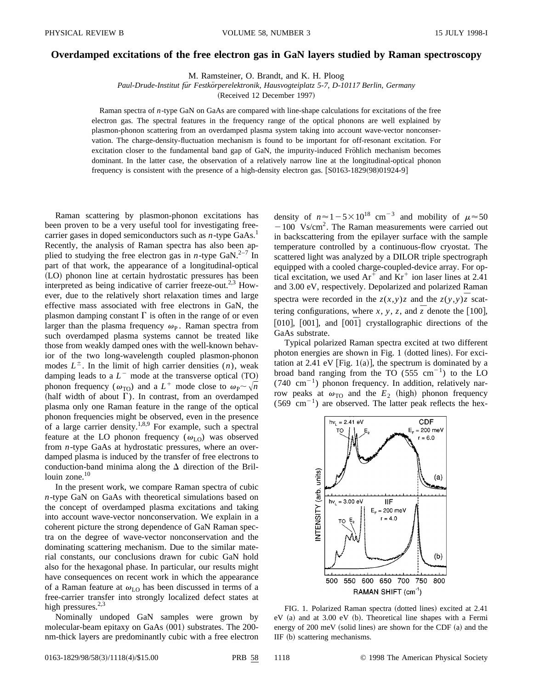## **Overdamped excitations of the free electron gas in GaN layers studied by Raman spectroscopy**

M. Ramsteiner, O. Brandt, and K. H. Ploog

Paul-Drude-Institut für Festkörperelektronik, Hausvogteiplatz 5-7, D-10117 Berlin, Germany

(Received 12 December 1997)

Raman spectra of *n*-type GaN on GaAs are compared with line-shape calculations for excitations of the free electron gas. The spectral features in the frequency range of the optical phonons are well explained by plasmon-phonon scattering from an overdamped plasma system taking into account wave-vector nonconservation. The charge-density-fluctuation mechanism is found to be important for off-resonant excitation. For excitation closer to the fundamental band gap of GaN, the impurity-induced Fröhlich mechanism becomes dominant. In the latter case, the observation of a relatively narrow line at the longitudinal-optical phonon frequency is consistent with the presence of a high-density electron gas.  $[ $\frac{S0163-1829(98)}{01924-9}$ ]$ 

Raman scattering by plasmon-phonon excitations has been proven to be a very useful tool for investigating freecarrier gases in doped semiconductors such as *n*-type GaAs.<sup>1</sup> Recently, the analysis of Raman spectra has also been applied to studying the free electron gas in *n*-type GaN.<sup>2–7</sup> In part of that work, the appearance of a longitudinal-optical (LO) phonon line at certain hydrostatic pressures has been interpreted as being indicative of carrier freeze-out.<sup>2,3</sup> However, due to the relatively short relaxation times and large effective mass associated with free electrons in GaN, the plasmon damping constant  $\Gamma$  is often in the range of or even larger than the plasma frequency  $\omega_{\rm P}$ . Raman spectra from such overdamped plasma systems cannot be treated like those from weakly damped ones with the well-known behavior of the two long-wavelength coupled plasmon-phonon modes  $L^{\pm}$ . In the limit of high carrier densities  $(n)$ , weak damping leads to a  $L^-$  mode at the transverse optical  $(TO)$ phonon frequency ( $\omega_{\text{TO}}$ ) and a  $L^+$  mode close to  $\omega_{\text{P}} \sim \sqrt{n}$ (half width of about  $\Gamma$ ). In contrast, from an overdamped plasma only one Raman feature in the range of the optical phonon frequencies might be observed, even in the presence of a large carrier density.<sup>1,8,9</sup> For example, such a spectral feature at the LO phonon frequency  $(\omega_{\text{LO}})$  was observed from *n*-type GaAs at hydrostatic pressures, where an overdamped plasma is induced by the transfer of free electrons to conduction-band minima along the  $\Delta$  direction of the Brillouin zone.<sup>10</sup>

In the present work, we compare Raman spectra of cubic *n*-type GaN on GaAs with theoretical simulations based on the concept of overdamped plasma excitations and taking into account wave-vector nonconservation. We explain in a coherent picture the strong dependence of GaN Raman spectra on the degree of wave-vector nonconservation and the dominating scattering mechanism. Due to the similar material constants, our conclusions drawn for cubic GaN hold also for the hexagonal phase. In particular, our results might have consequences on recent work in which the appearance of a Raman feature at  $\omega_{\text{LO}}$  has been discussed in terms of a free-carrier transfer into strongly localized defect states at high pressures. $2,3$ 

Nominally undoped GaN samples were grown by molecular-beam epitaxy on GaAs (001) substrates. The 200nm-thick layers are predominantly cubic with a free electron density of  $n \approx 1-5 \times 10^{18}$  cm<sup>-3</sup> and mobility of  $\mu \approx 50$  $-100$  Vs/cm<sup>2</sup>. The Raman measurements were carried out in backscattering from the epilayer surface with the sample temperature controlled by a continuous-flow cryostat. The scattered light was analyzed by a DILOR triple spectrograph equipped with a cooled charge-coupled-device array. For optical excitation, we used  $Ar^+$  and  $Kr^+$  ion laser lines at 2.41 and 3.00 eV, respectively. Depolarized and polarized Raman spectra were recorded in the  $z(x,y)z$  and the  $z(y,y)\overline{z}$  scattering configurations, where *x*, *y*, *z*, and  $\overline{z}$  denote the [100], [010], [001], and  $[001]$  crystallographic directions of the GaAs substrate.

Typical polarized Raman spectra excited at two different photon energies are shown in Fig. 1 (dotted lines). For excitation at 2.41 eV [Fig. 1(a)], the spectrum is dominated by a broad band ranging from the TO (555 cm<sup>-1</sup>) to the LO  $(740 \text{ cm}^{-1})$  phonon frequency. In addition, relatively narrow peaks at  $\omega_{\text{TO}}$  and the  $E_2$  (high) phonon frequency  $(569 \text{ cm}^{-1})$  are observed. The latter peak reflects the hex-



FIG. 1. Polarized Raman spectra (dotted lines) excited at 2.41  $eV$  (a) and at 3.00  $eV$  (b). Theoretical line shapes with a Fermi energy of 200 meV (solid lines) are shown for the CDF (a) and the  $IIF$  (b) scattering mechanisms.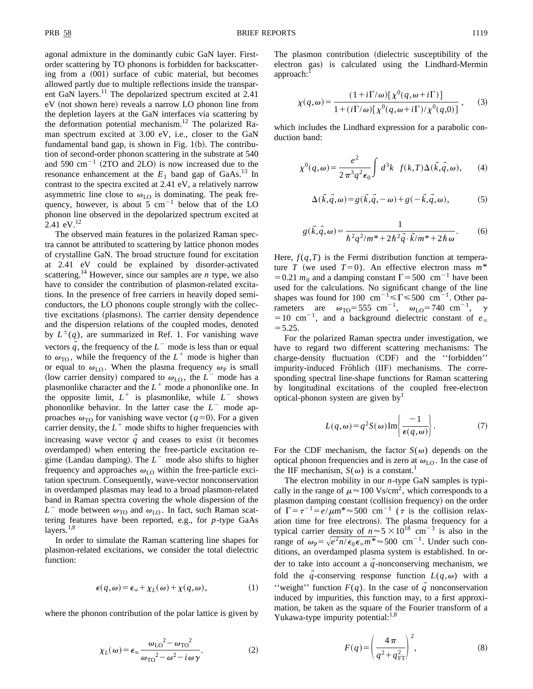agonal admixture in the dominantly cubic GaN layer. Firstorder scattering by TO phonons is forbidden for backscattering from a  $(001)$  surface of cubic material, but becomes allowed partly due to multiple reflections inside the transparent GaN layers.<sup>11</sup> The depolarized spectrum excited at 2.41 eV (not shown here) reveals a narrow LO phonon line from the depletion layers at the GaN interfaces via scattering by the deformation potential mechanism.<sup>12</sup> The polarized Raman spectrum excited at 3.00 eV, i.e., closer to the GaN fundamental band gap, is shown in Fig.  $1(b)$ . The contribution of second-order phonon scattering in the substrate at 540 and 590  $\text{cm}^{-1}$  (2TO and 2LO) is now increased due to the resonance enhancement at the  $E_1$  band gap of GaAs.<sup>13</sup> In contrast to the spectra excited at 2.41 eV, a relatively narrow asymmetric line close to  $\omega_{\text{LO}}$  is dominating. The peak frequency, however, is about 5  $cm^{-1}$  below that of the LO phonon line observed in the depolarized spectrum excited at 2.41 eV.<sup>12</sup>

The observed main features in the polarized Raman spectra cannot be attributed to scattering by lattice phonon modes of crystalline GaN. The broad structure found for excitation at 2.41 eV could be explained by disorder-activated scattering.<sup>14</sup> However, since our samples are *n* type, we also have to consider the contribution of plasmon-related excitations. In the presence of free carriers in heavily doped semiconductors, the LO phonons couple strongly with the collective excitations (plasmons). The carrier density dependence and the dispersion relations of the coupled modes, denoted by  $L^{\pm}(q)$ , are summarized in Ref. 1. For vanishing wave vectors  $q$ , the frequency of the  $L^-$  mode is less than or equal to  $\omega_{\text{TO}}$ , while the frequency of the  $L^+$  mode is higher than or equal to  $\omega_{LO}$ . When the plasma frequency  $\omega_P$  is small (low carrier density) compared to  $\omega_{LO}$ , the  $L^-$  mode has a plasmonlike character and the  $L^+$  mode a phononlike one. In the opposite limit,  $L^+$  is plasmonlike, while  $L^-$  shows phononlike behavior. In the latter case the  $L^{\text{-}}$  mode approaches  $\omega_{\text{TO}}$  for vanishing wave vector ( $q=0$ ). For a given carrier density, the  $L^+$  mode shifts to higher frequencies with increasing wave vector  $\vec{q}$  and ceases to exist (it becomes overdamped) when entering the free-particle excitation regime (Landau damping). The  $L^-$  mode also shifts to higher frequency and approaches  $\omega_{\text{LO}}$  within the free-particle excitation spectrum. Consequently, wave-vector nonconservation in overdamped plasmas may lead to a broad plasmon-related band in Raman spectra covering the whole dispersion of the  $L^-$  mode between  $\omega_{\text{TO}}$  and  $\omega_{\text{LO}}$ . In fact, such Raman scattering features have been reported, e.g., for *p*-type GaAs layers.<sup>1,8</sup>

In order to simulate the Raman scattering line shapes for plasmon-related excitations, we consider the total dielectric function:

$$
\epsilon(q,\omega) = \epsilon_{\infty} + \chi_L(\omega) + \chi(q,\omega), \tag{1}
$$

where the phonon contribution of the polar lattice is given by

$$
\chi_L(\omega) = \epsilon_\infty \frac{\omega_{\text{LO}}^2 - \omega_{\text{TO}}^2}{\omega_{\text{TO}}^2 - \omega^2 - i\omega \gamma}.
$$
 (2)

The plasmon contribution (dielectric susceptibility of the electron gas) is calculated using the Lindhard-Mermin approach:

$$
\chi(q,\omega) = \frac{(1+i\Gamma/\omega)[\chi^0(q,\omega+i\Gamma)]}{1+(i\Gamma/\omega)[\chi^0(q,\omega+i\Gamma)/\chi^0(q,0)]},
$$
(3)

which includes the Lindhard expression for a parabolic conduction band:

$$
\chi^{0}(q,\omega) = \frac{e^2}{2\pi^3 q^2 \epsilon_0} \int d^3k \ f(k,T) \Delta(\vec{k},\vec{q},\omega), \qquad (4)
$$

$$
\Delta(\vec{k}, \vec{q}, \omega) = g(\vec{k}, \vec{q}, -\omega) + g(-\vec{k}, \vec{q}, \omega),
$$
 (5)

$$
g(\vec{k}, \vec{q}, \omega) = \frac{1}{\hbar^2 q^2 / m^* + 2\hbar^2 \vec{q} \cdot \vec{k} / m^* + 2\hbar \omega}.
$$
 (6)

Here,  $f(q, T)$  is the Fermi distribution function at temperature *T* (we used *T*=0). An effective electron mass  $m^*$ = 0.21  $m_0$  and a damping constant  $\Gamma$  = 500 cm<sup>-1</sup> have been used for the calculations. No significant change of the line shapes was found for 100 cm<sup>-1</sup>  $\leq$   $\Gamma$   $\leq$  500 cm<sup>-1</sup>. Other parameters are  $\omega_{\text{TO}}$ =555 cm<sup>-1</sup>,  $\omega_{\text{LO}}$ =740 cm<sup>-1</sup>,  $\gamma$  $=10$  cm<sup>-1</sup>, and a background dielectric constant of  $e_\infty$  $= 5.25.$ 

For the polarized Raman spectra under investigation, we have to regard two different scattering mechanisms: The charge-density fluctuation (CDF) and the "forbidden" impurity-induced Fröhlich (IIF) mechanisms. The corresponding spectral line-shape functions for Raman scattering by longitudinal excitations of the coupled free-electron optical-phonon system are given by<sup>1</sup>

$$
L(q,\omega) = q^2 S(\omega) \operatorname{Im} \left\{ \frac{-1}{\epsilon(q,\omega)} \right\}.
$$
 (7)

For the CDF mechanism, the factor  $S(\omega)$  depends on the optical phonon frequencies and is zero at  $\omega_{\text{LO}}$ . In the case of the IIF mechanism,  $S(\omega)$  is a constant.<sup>1</sup>

The electron mobility in our *n*-type GaN samples is typically in the range of  $\mu \approx 100 \text{ Vs/cm}^2$ , which corresponds to a plasmon damping constant (collision frequency) on the order of  $\Gamma = \tau^{-1} = e/\mu m^* \approx 500$  cm<sup>-1</sup> ( $\tau$  is the collision relaxation time for free electrons). The plasma frequency for a typical carrier density of  $n \approx 5 \times 10^{18}$  cm<sup>-3</sup> is also in the range of  $\omega_{\rm P} = \sqrt{e^2 n / \epsilon_0 \epsilon_{\infty} m^*} \approx 500 \text{ cm}^{-1}$ . Under such conditions, an overdamped plasma system is established. In order to take into account a  $q$ -nonconserving mechanism, we fold the *q*-conserving response function  $L(q,\omega)$  with a "weight" function  $F(q)$ . In the case of  $\vec{q}$  nonconservation induced by impurities, this function may, to a first approximation, be taken as the square of the Fourier transform of a Yukawa-type impurity potential:<sup>1,8</sup>

$$
F(q) = \left(\frac{4\pi}{q^2 + q_{\rm FT}^2}\right)^2,\tag{8}
$$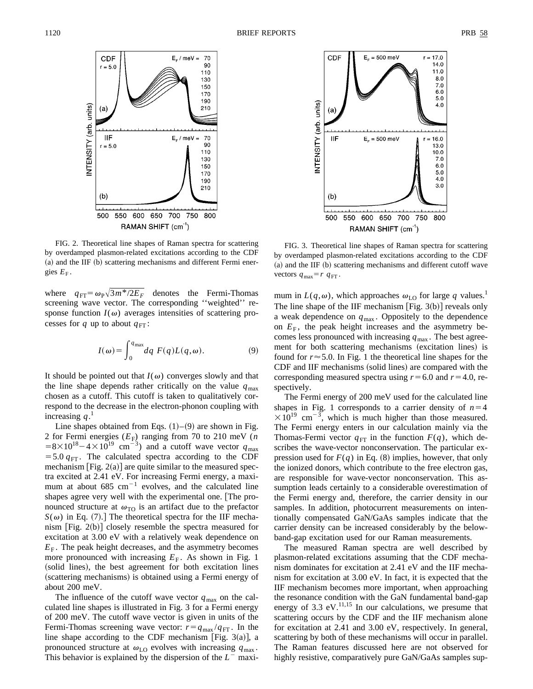

FIG. 2. Theoretical line shapes of Raman spectra for scattering by overdamped plasmon-related excitations according to the CDF (a) and the IIF (b) scattering mechanisms and different Fermi energies  $E_F$ .

where  $q_{\text{FT}} = \omega_{\text{P}} \sqrt{3m^*/2E_F}$  denotes the Fermi-Thomas screening wave vector. The corresponding ''weighted'' response function  $I(\omega)$  averages intensities of scattering processes for *q* up to about  $q_{\text{FT}}$ :

$$
I(\omega) = \int_0^{q_{\text{max}}} dq \ F(q) L(q, \omega). \tag{9}
$$

It should be pointed out that  $I(\omega)$  converges slowly and that the line shape depends rather critically on the value  $q_{\text{max}}$ chosen as a cutoff. This cutoff is taken to qualitatively correspond to the decrease in the electron-phonon coupling with increasing  $q<sup>1</sup>$ 

Line shapes obtained from Eqs.  $(1)$ – $(9)$  are shown in Fig. 2 for Fermi energies  $(E_F)$  ranging from 70 to 210 meV (*n*  $=8\times10^{18}-4\times10^{19}$  cm<sup>-3</sup>) and a cutoff wave vector  $q_{\text{max}}$  $=$  5.0  $q_{\text{FT}}$ . The calculated spectra according to the CDF mechanism [Fig.  $2(a)$ ] are quite similar to the measured spectra excited at 2.41 eV. For increasing Fermi energy, a maximum at about  $685 \text{ cm}^{-1}$  evolves, and the calculated line shapes agree very well with the experimental one. [The pronounced structure at  $\omega_{\text{TO}}$  is an artifact due to the prefactor  $S(\omega)$  in Eq. (7).] The theoretical spectra for the IIF mechanism  $[Fig. 2(b)]$  closely resemble the spectra measured for excitation at 3.00 eV with a relatively weak dependence on  $E_F$ . The peak height decreases, and the asymmetry becomes more pronounced with increasing  $E_F$ . As shown in Fig. 1 (solid lines), the best agreement for both excitation lines (scattering mechanisms) is obtained using a Fermi energy of about 200 meV.

The influence of the cutoff wave vector  $q_{\text{max}}$  on the calculated line shapes is illustrated in Fig. 3 for a Fermi energy of 200 meV. The cutoff wave vector is given in units of the Fermi-Thomas screening wave vector:  $r = q_{\text{max}} / q_{\text{FT}}$ . In the line shape according to the CDF mechanism [Fig. 3(a)], a pronounced structure at  $\omega_{\text{LO}}$  evolves with increasing  $q_{\text{max}}$ . This behavior is explained by the dispersion of the  $L^-$  maxi-



FIG. 3. Theoretical line shapes of Raman spectra for scattering by overdamped plasmon-related excitations according to the CDF  $(a)$  and the IIF  $(b)$  scattering mechanisms and different cutoff wave vectors  $q_{\text{max}} = r q_{\text{FT}}$ .

mum in  $L(q,\omega)$ , which approaches  $\omega_{\text{LO}}$  for large q values.<sup>1</sup> The line shape of the IIF mechanism [Fig.  $3(b)$ ] reveals only a weak dependence on *q*max . Oppositely to the dependence on  $E_F$ , the peak height increases and the asymmetry becomes less pronounced with increasing  $q_{\text{max}}$ . The best agreement for both scattering mechanisms (excitation lines) is found for  $r \approx 5.0$ . In Fig. 1 the theoretical line shapes for the CDF and IIF mechanisms (solid lines) are compared with the corresponding measured spectra using  $r = 6.0$  and  $r = 4.0$ , respectively.

The Fermi energy of 200 meV used for the calculated line shapes in Fig. 1 corresponds to a carrier density of  $n=4$  $\times 10^{19}$  cm<sup>-3</sup>, which is much higher than those measured. The Fermi energy enters in our calculation mainly via the Thomas-Fermi vector  $q_{\text{FT}}$  in the function  $F(q)$ , which describes the wave-vector nonconservation. The particular expression used for  $F(q)$  in Eq. (8) implies, however, that only the ionized donors, which contribute to the free electron gas, are responsible for wave-vector nonconservation. This assumption leads certainly to a considerable overestimation of the Fermi energy and, therefore, the carrier density in our samples. In addition, photocurrent measurements on intentionally compensated GaN/GaAs samples indicate that the carrier density can be increased considerably by the belowband-gap excitation used for our Raman measurements.

The measured Raman spectra are well described by plasmon-related excitations assuming that the CDF mechanism dominates for excitation at 2.41 eV and the IIF mechanism for excitation at 3.00 eV. In fact, it is expected that the IIF mechanism becomes more important, when approaching the resonance condition with the GaN fundamental band-gap energy of 3.3 eV. $^{11,15}$  In our calculations, we presume that scattering occurs by the CDF and the IIF mechanism alone for excitation at 2.41 and 3.00 eV, respectively. In general, scattering by both of these mechanisms will occur in parallel. The Raman features discussed here are not observed for highly resistive, comparatively pure GaN/GaAs samples sup